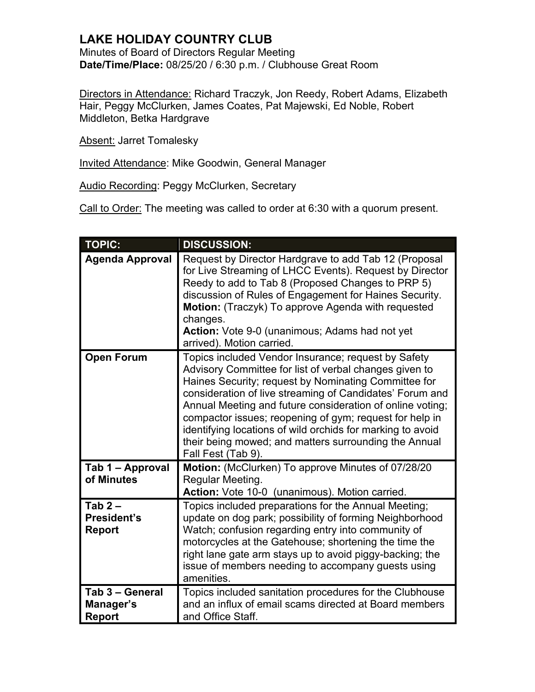## **LAKE HOLIDAY COUNTRY CLUB**

Minutes of Board of Directors Regular Meeting **Date/Time/Place:** 08/25/20 / 6:30 p.m. / Clubhouse Great Room

Directors in Attendance: Richard Traczyk, Jon Reedy, Robert Adams, Elizabeth Hair, Peggy McClurken, James Coates, Pat Majewski, Ed Noble, Robert Middleton, Betka Hardgrave

Absent: Jarret Tomalesky

Invited Attendance: Mike Goodwin, General Manager

Audio Recording: Peggy McClurken, Secretary

Call to Order: The meeting was called to order at 6:30 with a quorum present.

| <b>TOPIC:</b>                                   | <b>DISCUSSION:</b>                                                                                                                                                                                                                                                                                                                                                                                                                                                                                     |
|-------------------------------------------------|--------------------------------------------------------------------------------------------------------------------------------------------------------------------------------------------------------------------------------------------------------------------------------------------------------------------------------------------------------------------------------------------------------------------------------------------------------------------------------------------------------|
| <b>Agenda Approval</b>                          | Request by Director Hardgrave to add Tab 12 (Proposal<br>for Live Streaming of LHCC Events). Request by Director<br>Reedy to add to Tab 8 (Proposed Changes to PRP 5)<br>discussion of Rules of Engagement for Haines Security.<br>Motion: (Traczyk) To approve Agenda with requested<br>changes.<br>Action: Vote 9-0 (unanimous; Adams had not yet<br>arrived). Motion carried.                                                                                                                       |
| <b>Open Forum</b>                               | Topics included Vendor Insurance; request by Safety<br>Advisory Committee for list of verbal changes given to<br>Haines Security; request by Nominating Committee for<br>consideration of live streaming of Candidates' Forum and<br>Annual Meeting and future consideration of online voting;<br>compactor issues; reopening of gym; request for help in<br>identifying locations of wild orchids for marking to avoid<br>their being mowed; and matters surrounding the Annual<br>Fall Fest (Tab 9). |
| Tab 1 - Approval<br>of Minutes                  | Motion: (McClurken) To approve Minutes of 07/28/20<br>Regular Meeting.<br>Action: Vote 10-0 (unanimous). Motion carried.                                                                                                                                                                                                                                                                                                                                                                               |
| Tab $2-$<br><b>President's</b><br><b>Report</b> | Topics included preparations for the Annual Meeting;<br>update on dog park; possibility of forming Neighborhood<br>Watch; confusion regarding entry into community of<br>motorcycles at the Gatehouse; shortening the time the<br>right lane gate arm stays up to avoid piggy-backing; the<br>issue of members needing to accompany guests using<br>amenities.                                                                                                                                         |
| Tab 3 - General<br>Manager's<br><b>Report</b>   | Topics included sanitation procedures for the Clubhouse<br>and an influx of email scams directed at Board members<br>and Office Staff.                                                                                                                                                                                                                                                                                                                                                                 |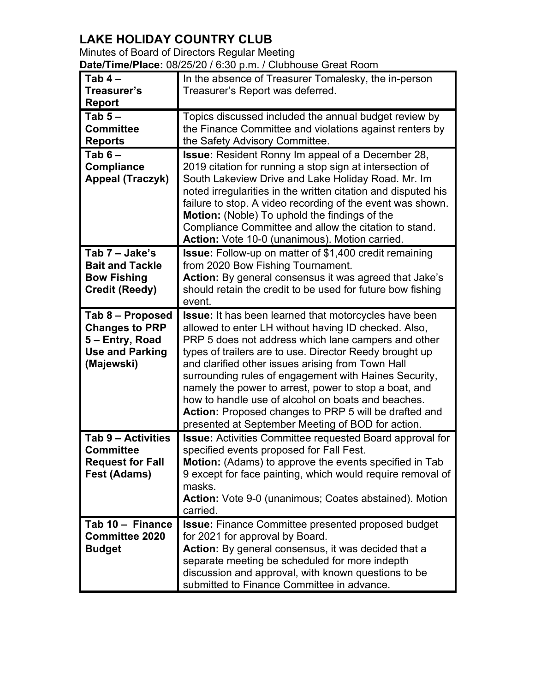## **LAKE HOLIDAY COUNTRY CLUB**

| Minutes of Board of Directors Regular Meeting                |  |
|--------------------------------------------------------------|--|
| Date/Time/Place: 08/25/20 / 6:30 p.m. / Clubhouse Great Room |  |

| Tab $4-$                | In the absence of Treasurer Tomalesky, the in-person            |
|-------------------------|-----------------------------------------------------------------|
| Treasurer's             | Treasurer's Report was deferred.                                |
| <b>Report</b>           |                                                                 |
| Tab $5-$                | Topics discussed included the annual budget review by           |
| <b>Committee</b>        | the Finance Committee and violations against renters by         |
| <b>Reports</b>          | the Safety Advisory Committee.                                  |
| Tab $6-$                | <b>Issue:</b> Resident Ronny Im appeal of a December 28,        |
| <b>Compliance</b>       | 2019 citation for running a stop sign at intersection of        |
| <b>Appeal (Traczyk)</b> | South Lakeview Drive and Lake Holiday Road. Mr. Im              |
|                         | noted irregularities in the written citation and disputed his   |
|                         | failure to stop. A video recording of the event was shown.      |
|                         | Motion: (Noble) To uphold the findings of the                   |
|                         | Compliance Committee and allow the citation to stand.           |
|                         | Action: Vote 10-0 (unanimous). Motion carried.                  |
| Tab 7 - Jake's          | <b>Issue:</b> Follow-up on matter of \$1,400 credit remaining   |
| <b>Bait and Tackle</b>  | from 2020 Bow Fishing Tournament.                               |
| <b>Bow Fishing</b>      | Action: By general consensus it was agreed that Jake's          |
| <b>Credit (Reedy)</b>   | should retain the credit to be used for future bow fishing      |
|                         | event.                                                          |
| Tab 8 - Proposed        | <b>Issue:</b> It has been learned that motorcycles have been    |
| <b>Changes to PRP</b>   | allowed to enter LH without having ID checked. Also,            |
| 5 – Entry, Road         | PRP 5 does not address which lane campers and other             |
| <b>Use and Parking</b>  | types of trailers are to use. Director Reedy brought up         |
| (Majewski)              | and clarified other issues arising from Town Hall               |
|                         | surrounding rules of engagement with Haines Security,           |
|                         | namely the power to arrest, power to stop a boat, and           |
|                         | how to handle use of alcohol on boats and beaches.              |
|                         | <b>Action:</b> Proposed changes to PRP 5 will be drafted and    |
|                         | presented at September Meeting of BOD for action.               |
| Tab 9 - Activities      | <b>Issue:</b> Activities Committee requested Board approval for |
| <b>Committee</b>        | specified events proposed for Fall Fest.                        |
| <b>Request for Fall</b> | Motion: (Adams) to approve the events specified in Tab          |
| Fest (Adams)            | 9 except for face painting, which would require removal of      |
|                         | masks.                                                          |
|                         | Action: Vote 9-0 (unanimous; Coates abstained). Motion          |
|                         | carried.                                                        |
| Tab 10 - Finance        | <b>Issue:</b> Finance Committee presented proposed budget       |
| <b>Committee 2020</b>   | for 2021 for approval by Board.                                 |
| <b>Budget</b>           | <b>Action:</b> By general consensus, it was decided that a      |
|                         | separate meeting be scheduled for more indepth                  |
|                         | discussion and approval, with known questions to be             |
|                         | submitted to Finance Committee in advance.                      |